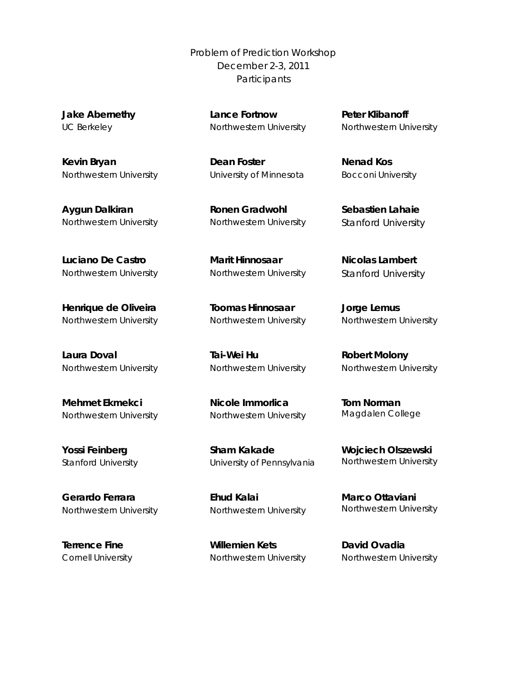Problem of Prediction Workshop December 2-3, 2011 **Participants** 

**Jake Abernethy** UC Berkeley

**Lance Fortnow**  Northwestern University

**Kevin Bryan** Northwestern University

**Aygun Dalkiran** Northwestern University

**Luciano De Castro** Northwestern University **Dean Foster** 

University of Minnesota

**Ronen Gradwohl** Northwestern University

**Marit Hinnosaar** Northwestern University

**Henrique de Oliveira** Northwestern University

**Laura Doval** Northwestern University

**Mehmet Ekmekci** Northwestern University

**Yossi Feinberg** Stanford University

**Gerardo Ferrara** Northwestern University

**Terrence Fine** Cornell University **Toomas Hinnosaar** Northwestern University

**Tai-Wei Hu** Northwestern University

**Nicole Immorlica**  Northwestern University

**Sham Kakade** University of Pennsylvania

**Ehud Kalai** Northwestern University

**Willemien Kets** Northwestern University **Peter Klibanoff** Northwestern University

**Nenad Kos** Bocconi University

**Sebastien Lahaie** Stanford University

**Nicolas Lambert** Stanford University

**Jorge Lemus** Northwestern University

**Robert Molony** Northwestern University

**Tom Norman** Magdalen College

**Wojciech Olszewski** Northwestern University

**Marco Ottaviani** Northwestern University

**David Ovadia** Northwestern University